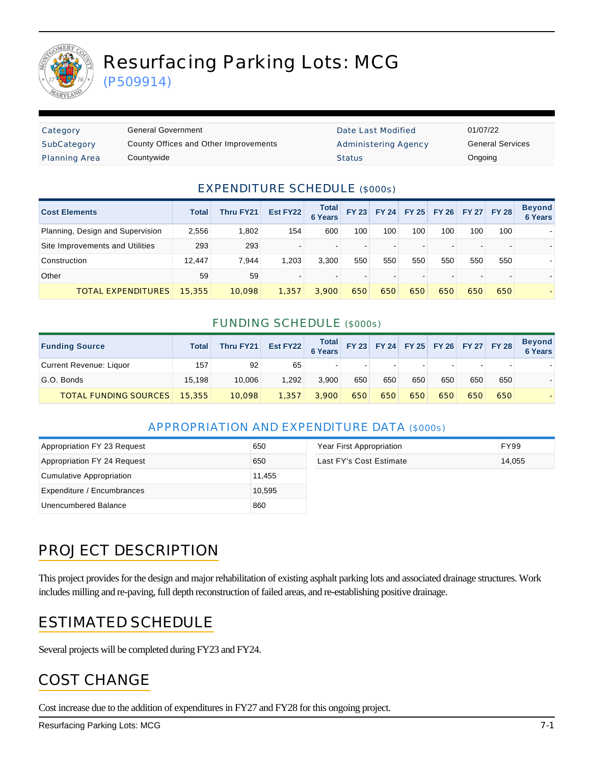

# Resurfacing Parking Lots: MCG

(P509914)

| Category             | General Government                    | Date Last Modified          | 01/07/22 |
|----------------------|---------------------------------------|-----------------------------|----------|
| SubCategory          | County Offices and Other Improvements | <b>Administering Agency</b> | General  |
| <b>Planning Area</b> | Countywide                            | <b>Status</b>               | Ongoing  |

Date Last Modified 01/07/22 Administering Agency **General Services** 

#### EXPENDITURE SCHEDULE (\$000s)

| <b>Cost Elements</b>             | <b>Total</b> | Thru FY21 | Est FY22 | Total<br><b>6 Years</b> | <b>FY 23</b> |     |     | FY 24 FY 25 FY 26 FY 27 FY 28 |     |     | <b>Beyond</b><br><b>6 Years</b> |
|----------------------------------|--------------|-----------|----------|-------------------------|--------------|-----|-----|-------------------------------|-----|-----|---------------------------------|
| Planning, Design and Supervision | 2,556        | 1,802     | 154      | 600                     | 100          | 100 | 100 | 100                           | 100 | 100 |                                 |
| Site Improvements and Utilities  | 293          | 293       |          |                         |              |     |     |                               |     |     |                                 |
| Construction                     | 12.447       | 7.944     | 1.203    | 3.300                   | 550          | 550 | 550 | 550                           | 550 | 550 |                                 |
| Other                            | 59           | 59        |          |                         |              |     |     |                               |     |     |                                 |
| <b>TOTAL EXPENDITURES</b>        | 15,355       | 10.098    | 1.357    | 3,900                   | 650          | 650 | 650 | 650                           | 650 | 650 |                                 |

#### FUNDING SCHEDULE (\$000s)

| <b>Funding Source</b>        | <b>Total</b> | Thru FY21 | Est FY22 Total FY 23 FY 24 FY 25 FY 26 FY 27 FY 28 |       |     |     |     |     |        |     | <b>Beyond</b><br>6 Years |
|------------------------------|--------------|-----------|----------------------------------------------------|-------|-----|-----|-----|-----|--------|-----|--------------------------|
| Current Revenue: Liquor      | 157          | 92        | 65                                                 |       |     | ۰.  |     |     | $\sim$ |     |                          |
| G.O. Bonds                   | 15.198       | 10.006    | 1.292                                              | 3.900 | 650 | 650 | 650 | 650 | 650    | 650 |                          |
| <b>TOTAL FUNDING SOURCES</b> | 15,355       | 10,098    | 1,357                                              | 3,900 | 650 | 650 | 650 | 650 | 650    | 650 |                          |

#### APPROPRIATION AND EXPENDITURE DATA (\$000s)

| Appropriation FY 23 Request | 650    | Year First Appropriation | <b>FY99</b> |
|-----------------------------|--------|--------------------------|-------------|
| Appropriation FY 24 Request | 650    | Last FY's Cost Estimate  | 14.055      |
| Cumulative Appropriation    | 11,455 |                          |             |
| Expenditure / Encumbrances  | 10,595 |                          |             |
| Unencumbered Balance        | 860    |                          |             |

## PROJECT DESCRIPTION

This project provides for the design and major rehabilitation of existing asphalt parking lots and associated drainage structures. Work includes milling and re-paving, full depth reconstruction of failed areas, and re-establishing positive drainage.

### ESTIMATED SCHEDULE

Several projects will be completed during FY23 and FY24.

### COST CHANGE

Cost increase due to the addition of expenditures in FY27 and FY28 for this ongoing project.